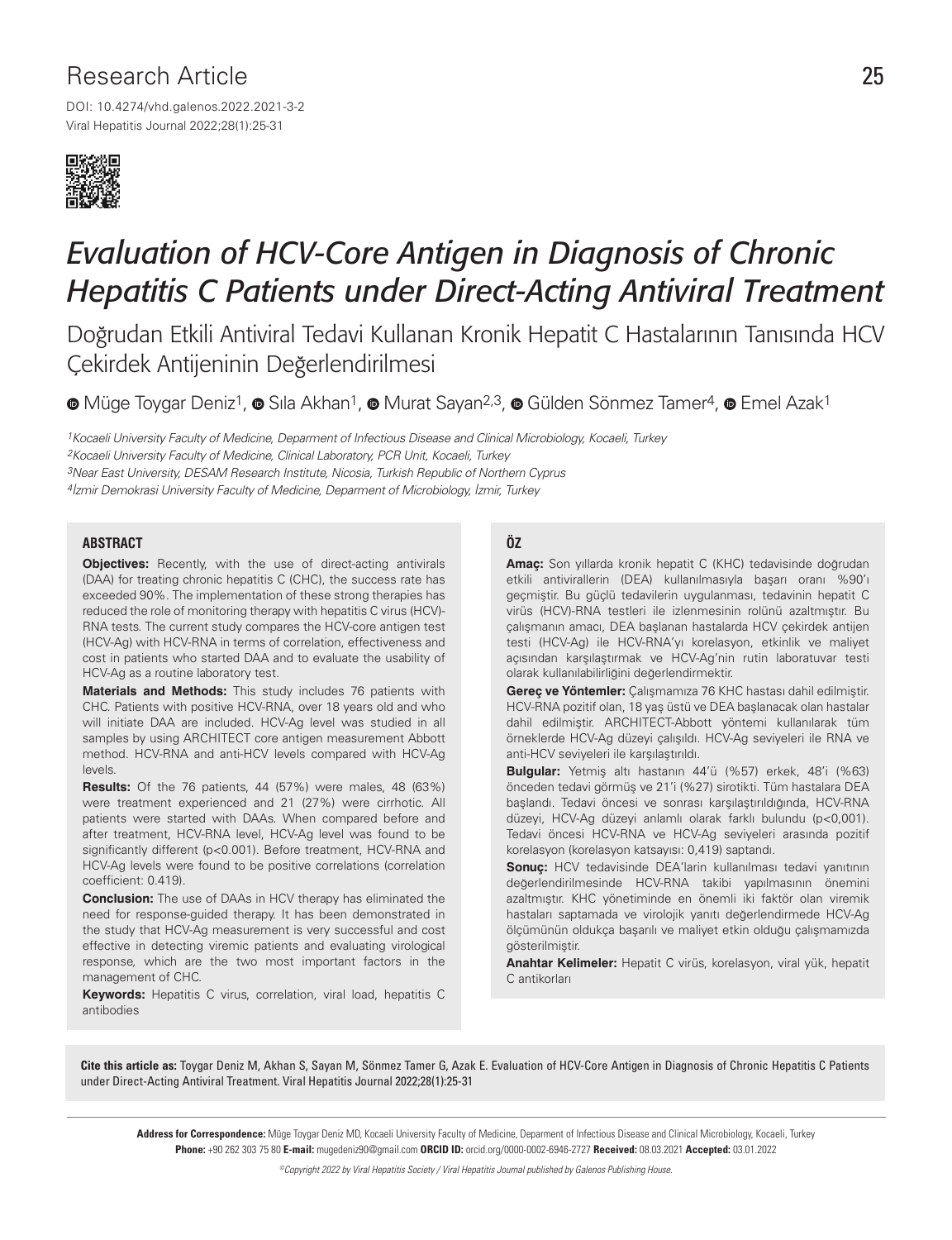# Research Article

DOI: 10.4274/vhd.galenos.2022.2021-3-2 Viral Hepatitis Journal 2022;28(1):25-31



# *Evaluation of HCV-Core Antigen in Diagnosis of Chronic Hepatitis C Patients under Direct-Acting Antiviral Treatment*

Doğrudan Etkili Antiviral Tedavi Kullanan Kronik Hepatit C Hastalarının Tanısında HCV Çekirdek Antijeninin Değerlendirilmesi

 $\bullet$ Müge Toygar Deniz<sup>1</sup>,  $\bullet$  Sıla Akhan<sup>1</sup>,  $\bullet$  Murat Sayan<sup>2,3</sup>,  $\bullet$  Gülden Sönmez Tamer<sup>4</sup>,  $\bullet$  Emel Azak<sup>1</sup>

1Kocaeli University Faculty of Medicine, Deparment of Infectious Disease and Clinical Microbiology, Kocaeli, Turkey 2Kocaeli University Faculty of Medicine, Clinical Laboratory, PCR Unit, Kocaeli, Turkey 3Near East University, DESAM Research Institute, Nicosia, Turkish Republic of Northern Cyprus 4İzmir Demokrasi University Faculty of Medicine, Deparment of Microbiology, İzmir, Turkey

### **ABSTRACT**

**Objectives:** Recently, with the use of direct-acting antivirals (DAA) for treating chronic hepatitis C (CHC), the success rate has exceeded 90%. The implementation of these strong therapies has reduced the role of monitoring therapy with hepatitis C virus (HCV)- RNA tests. The current study compares the HCV-core antigen test (HCV-Ag) with HCV-RNA in terms of correlation, effectiveness and cost in patients who started DAA and to evaluate the usability of HCV-Ag as a routine laboratory test.

**Materials and Methods:** This study includes 76 patients with CHC. Patients with positive HCV-RNA, over 18 years old and who will initiate DAA are included. HCV-Ag level was studied in all samples by using ARCHITECT core antigen measurement Abbott method. HCV-RNA and anti-HCV levels compared with HCV-Ag levels.

**Results:** Of the 76 patients, 44 (57%) were males, 48 (63%) were treatment experienced and 21 (27%) were cirrhotic. All patients were started with DAAs. When compared before and after treatment, HCV-RNA level, HCV-Ag level was found to be significantly different (p<0.001). Before treatment, HCV-RNA and HCV-Ag levels were found to be positive correlations (correlation coefficient: 0.419).

**Conclusion:** The use of DAAs in HCV therapy has eliminated the need for response-guided therapy. It has been demonstrated in the study that HCV-Ag measurement is very successful and cost effective in detecting viremic patients and evaluating virological response, which are the two most important factors in the management of CHC.

**Keywords:** Hepatitis C virus, correlation, viral load, hepatitis C antibodies

# **ÖZ**

**Amaç:** Son yıllarda kronik hepatit C (KHC) tedavisinde doğrudan etkili antivirallerin (DEA) kullanılmasıyla başarı oranı %90'ı geçmiştir. Bu güçlü tedavilerin uygulanması, tedavinin hepatit C virüs (HCV)-RNA testleri ile izlenmesinin rolünü azaltmıştır. Bu çalışmanın amacı, DEA başlanan hastalarda HCV çekirdek antijen testi (HCV-Ag) ile HCV-RNA'yı korelasyon, etkinlik ve maliyet açısından karşılaştırmak ve HCV-Ag'nin rutin laboratuvar testi olarak kullanılabilirliğini değerlendirmektir.

**Gereç ve Yöntemler:** Çalışmamıza 76 KHC hastası dahil edilmiştir. HCV-RNA pozitif olan, 18 yaş üstü ve DEA başlanacak olan hastalar dahil edilmiştir. ARCHITECT-Abbott yöntemi kullanılarak tüm örneklerde HCV-Ag düzeyi çalışıldı. HCV-Ag seviyeleri ile RNA ve anti-HCV seviyeleri ile karşılaştırıldı.

**Bulgular:** Yetmiş altı hastanın 44'ü (%57) erkek, 48'i (%63) önceden tedavi görmüş ve 21'i (%27) sirotikti. Tüm hastalara DEA başlandı. Tedavi öncesi ve sonrası karşılaştırıldığında, HCV-RNA düzeyi, HCV-Ag düzeyi anlamlı olarak farklı bulundu (p<0,001). Tedavi öncesi HCV-RNA ve HCV-Ag seviyeleri arasında pozitif korelasyon (korelasyon katsayısı: 0,419) saptandı.

**Sonuç:** HCV tedavisinde DEA'larin kullanılması tedavi yanıtının değerlendirilmesinde HCV-RNA takibi yapılmasının önemini azaltmıştır. KHC yönetiminde en önemli iki faktör olan viremik hastaları saptamada ve virolojik yanıtı değerlendirmede HCV-Ag ölçümünün oldukça başarılı ve maliyet etkin olduğu çalışmamızda gösterilmiştir.

**Anahtar Kelimeler:** Hepatit C virüs, korelasyon, viral yük, hepatit C antikorları

Cite this article as: Toygar Deniz M, Akhan S, Sayan M, Sönmez Tamer G, Azak E. Evaluation of HCV-Core Antigen in Diagnosis of Chronic Hepatitis C Patients under Direct-Acting Antiviral Treatment. Viral Hepatitis Journal 2022;28(1):25-31

Address for Correspondence: Müge Toygar Deniz MD, Kocaeli University Faculty of Medicine, Deparment of Infectious Disease and Clinical Microbiology, Kocaeli, Turkey Phone: +90 262 303 75 80 E-mail: mugedeniz90@gmail.com ORCID ID: orcid.org/0000-0002-6946-2727 Received: 08.03.2021 Accepted: 03.01.2022

©Copyright 2022 by Viral Hepatitis Society / Viral Hepatitis Journal published by Galenos Publishing House.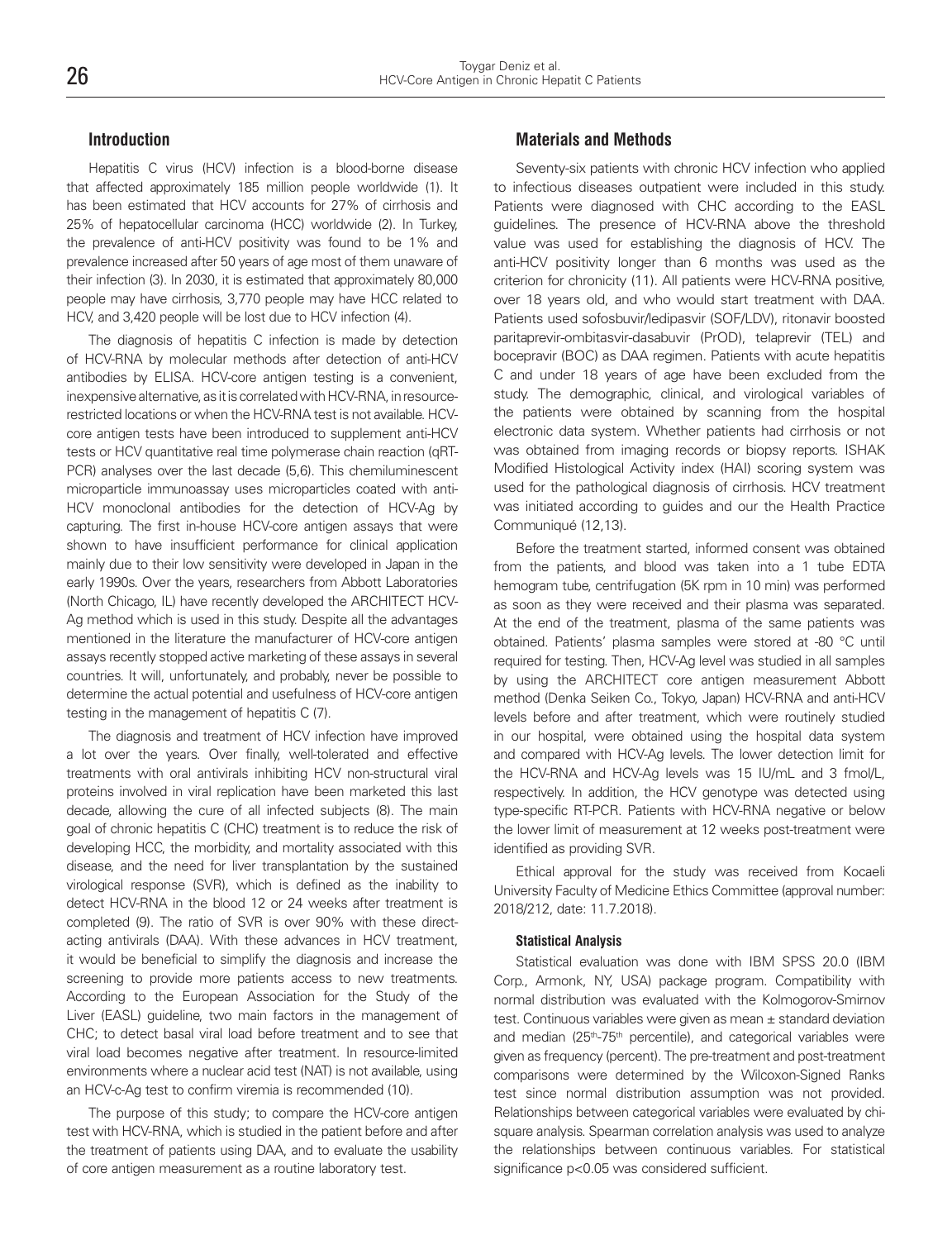# **Introduction**

Hepatitis C virus (HCV) infection is a blood-borne disease that affected approximately 185 million people worldwide (1). It has been estimated that HCV accounts for 27% of cirrhosis and 25% of hepatocellular carcinoma (HCC) worldwide (2). In Turkey, the prevalence of anti-HCV positivity was found to be 1% and prevalence increased after 50 years of age most of them unaware of their infection (3). In 2030, it is estimated that approximately 80,000 people may have cirrhosis, 3,770 people may have HCC related to HCV, and 3,420 people will be lost due to HCV infection (4).

The diagnosis of hepatitis C infection is made by detection of HCV-RNA by molecular methods after detection of anti-HCV antibodies by ELISA. HCV-core antigen testing is a convenient, inexpensive alternative, as it is correlated with HCV-RNA, in resourcerestricted locations or when the HCV-RNA test is not available. HCVcore antigen tests have been introduced to supplement anti-HCV tests or HCV quantitative real time polymerase chain reaction (qRT-PCR) analyses over the last decade (5,6). This chemiluminescent microparticle immunoassay uses microparticles coated with anti-HCV monoclonal antibodies for the detection of HCV-Ag by capturing. The first in-house HCV-core antigen assays that were shown to have insufficient performance for clinical application mainly due to their low sensitivity were developed in Japan in the early 1990s. Over the years, researchers from Abbott Laboratories (North Chicago, IL) have recently developed the ARCHITECT HCV-Ag method which is used in this study. Despite all the advantages mentioned in the literature the manufacturer of HCV-core antigen assays recently stopped active marketing of these assays in several countries. It will, unfortunately, and probably, never be possible to determine the actual potential and usefulness of HCV-core antigen testing in the management of hepatitis C (7).

The diagnosis and treatment of HCV infection have improved a lot over the years. Over finally, well-tolerated and effective treatments with oral antivirals inhibiting HCV non-structural viral proteins involved in viral replication have been marketed this last decade, allowing the cure of all infected subjects (8). The main goal of chronic hepatitis C (CHC) treatment is to reduce the risk of developing HCC, the morbidity, and mortality associated with this disease, and the need for liver transplantation by the sustained virological response (SVR), which is defined as the inability to detect HCV-RNA in the blood 12 or 24 weeks after treatment is completed (9). The ratio of SVR is over 90% with these directacting antivirals (DAA). With these advances in HCV treatment, it would be beneficial to simplify the diagnosis and increase the screening to provide more patients access to new treatments. According to the European Association for the Study of the Liver (EASL) guideline, two main factors in the management of CHC; to detect basal viral load before treatment and to see that viral load becomes negative after treatment. In resource-limited environments where a nuclear acid test (NAT) is not available, using an HCV-c-Ag test to confirm viremia is recommended (10).

The purpose of this study; to compare the HCV-core antigen test with HCV-RNA, which is studied in the patient before and after the treatment of patients using DAA, and to evaluate the usability of core antigen measurement as a routine laboratory test.

# **Materials and Methods**

Seventy-six patients with chronic HCV infection who applied to infectious diseases outpatient were included in this study. Patients were diagnosed with CHC according to the EASL guidelines. The presence of HCV-RNA above the threshold value was used for establishing the diagnosis of HCV. The anti-HCV positivity longer than 6 months was used as the criterion for chronicity (11). All patients were HCV-RNA positive, over 18 years old, and who would start treatment with DAA. Patients used sofosbuvir/ledipasvir (SOF/LDV), ritonavir boosted paritaprevir-ombitasvir-dasabuvir (PrOD), telaprevir (TEL) and bocepravir (BOC) as DAA regimen. Patients with acute hepatitis C and under 18 years of age have been excluded from the study. The demographic, clinical, and virological variables of the patients were obtained by scanning from the hospital electronic data system. Whether patients had cirrhosis or not was obtained from imaging records or biopsy reports. ISHAK Modified Histological Activity index (HAI) scoring system was used for the pathological diagnosis of cirrhosis. HCV treatment was initiated according to guides and our the Health Practice Communiqué (12,13).

Before the treatment started, informed consent was obtained from the patients, and blood was taken into a 1 tube EDTA hemogram tube, centrifugation (5K rpm in 10 min) was performed as soon as they were received and their plasma was separated. At the end of the treatment, plasma of the same patients was obtained. Patients' plasma samples were stored at -80 °C until required for testing. Then, HCV-Ag level was studied in all samples by using the ARCHITECT core antigen measurement Abbott method (Denka Seiken Co., Tokyo, Japan) HCV-RNA and anti-HCV levels before and after treatment, which were routinely studied in our hospital, were obtained using the hospital data system and compared with HCV-Ag levels. The lower detection limit for the HCV-RNA and HCV-Ag levels was 15 IU/mL and 3 fmol/L, respectively. In addition, the HCV genotype was detected using type-specific RT-PCR. Patients with HCV-RNA negative or below the lower limit of measurement at 12 weeks post-treatment were identified as providing SVR.

Ethical approval for the study was received from Kocaeli University Faculty of Medicine Ethics Committee (approval number: 2018/212, date: 11.7.2018).

#### **Statistical Analysis**

Statistical evaluation was done with IBM SPSS 20.0 (IBM Corp., Armonk, NY, USA) package program. Compatibility with normal distribution was evaluated with the Kolmogorov-Smirnov test. Continuous variables were given as mean ± standard deviation and median (25<sup>th</sup>-75<sup>th</sup> percentile), and categorical variables were given as frequency (percent). The pre-treatment and post-treatment comparisons were determined by the Wilcoxon-Signed Ranks test since normal distribution assumption was not provided. Relationships between categorical variables were evaluated by chisquare analysis. Spearman correlation analysis was used to analyze the relationships between continuous variables. For statistical significance p<0.05 was considered sufficient.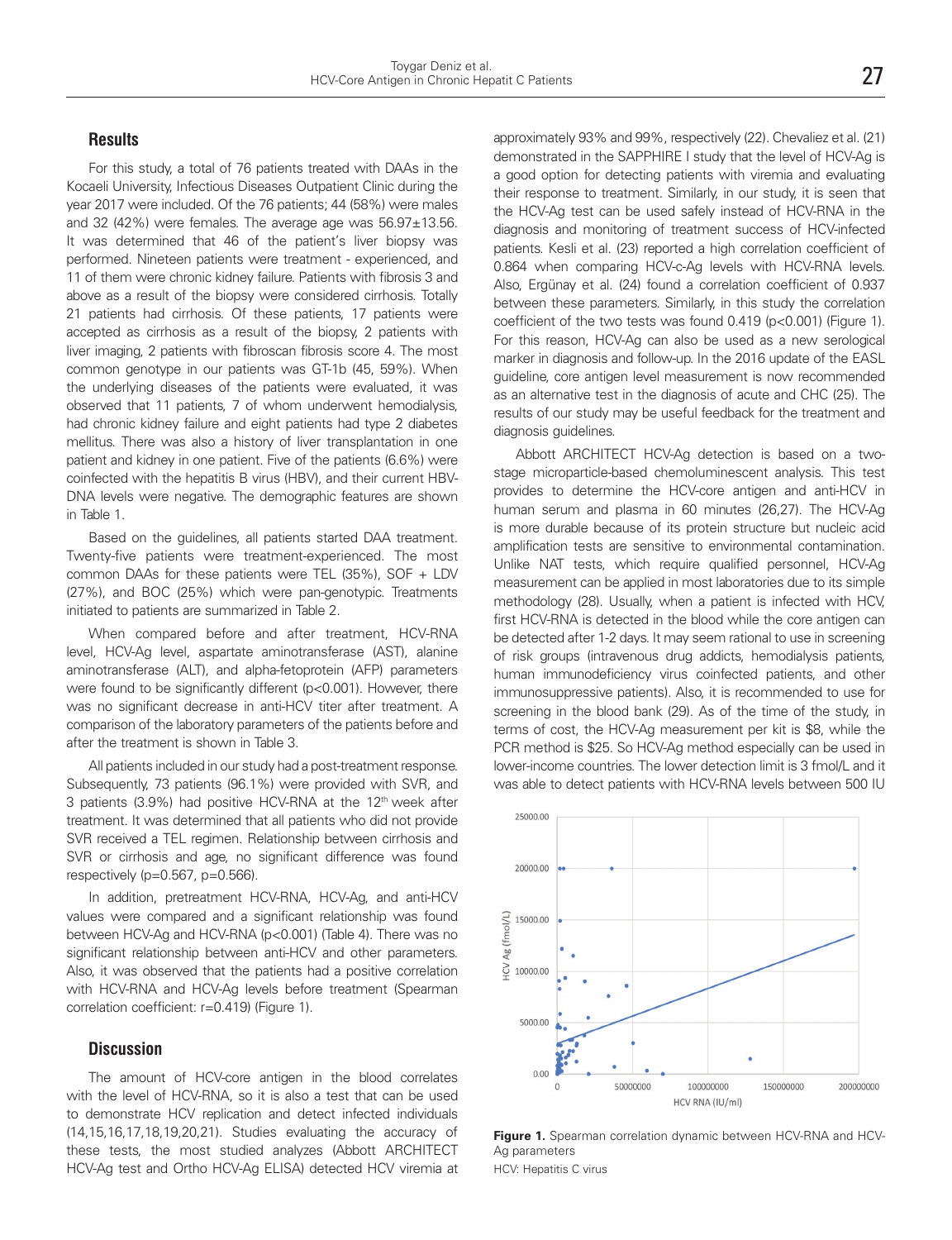# **Results**

For this study, a total of 76 patients treated with DAAs in the Kocaeli University, Infectious Diseases Outpatient Clinic during the year 2017 were included. Of the 76 patients; 44 (58%) were males and 32  $(42%)$  were females. The average age was  $56.97\pm13.56$ . It was determined that 46 of the patient's liver biopsy was performed. Nineteen patients were treatment - experienced, and 11 of them were chronic kidney failure. Patients with fibrosis 3 and above as a result of the biopsy were considered cirrhosis. Totally 21 patients had cirrhosis. Of these patients, 17 patients were accepted as cirrhosis as a result of the biopsy, 2 patients with liver imaging, 2 patients with fibroscan fibrosis score 4. The most common genotype in our patients was GT-1b (45, 59%). When the underlying diseases of the patients were evaluated, it was observed that 11 patients, 7 of whom underwent hemodialysis, had chronic kidney failure and eight patients had type 2 diabetes mellitus. There was also a history of liver transplantation in one patient and kidney in one patient. Five of the patients (6.6%) were coinfected with the hepatitis B virus (HBV), and their current HBV-DNA levels were negative. The demographic features are shown in Table 1.

Based on the guidelines, all patients started DAA treatment. Twenty-five patients were treatment-experienced. The most common DAAs for these patients were TEL (35%), SOF + LDV (27%), and BOC (25%) which were pan-genotypic. Treatments initiated to patients are summarized in Table 2.

When compared before and after treatment, HCV-RNA level, HCV-Ag level, aspartate aminotransferase (AST), alanine aminotransferase (ALT), and alpha-fetoprotein (AFP) parameters were found to be significantly different (p<0.001). However, there was no significant decrease in anti-HCV titer after treatment. A comparison of the laboratory parameters of the patients before and after the treatment is shown in Table 3.

All patients included in our study had a post-treatment response. Subsequently, 73 patients (96.1%) were provided with SVR, and 3 patients (3.9%) had positive HCV-RNA at the 12<sup>th</sup> week after treatment. It was determined that all patients who did not provide SVR received a TEL regimen. Relationship between cirrhosis and SVR or cirrhosis and age, no significant difference was found respectively ( $p=0.567$ ,  $p=0.566$ ).

In addition, pretreatment HCV-RNA, HCV-Ag, and anti-HCV values were compared and a significant relationship was found between HCV-Ag and HCV-RNA (p<0.001) (Table 4). There was no significant relationship between anti-HCV and other parameters. Also, it was observed that the patients had a positive correlation with HCV-RNA and HCV-Ag levels before treatment (Spearman correlation coefficient: r=0.419) (Figure 1).

# **Discussion**

The amount of HCV-core antigen in the blood correlates with the level of HCV-RNA, so it is also a test that can be used to demonstrate HCV replication and detect infected individuals (14,15,16,17,18,19,20,21). Studies evaluating the accuracy of these tests, the most studied analyzes (Abbott ARCHITECT HCV-Ag test and Ortho HCV-Ag ELISA) detected HCV viremia at approximately 93% and 99%, respectively (22). Chevaliez et al. (21) demonstrated in the SAPPHIRE I study that the level of HCV-Ag is a good option for detecting patients with viremia and evaluating their response to treatment. Similarly, in our study, it is seen that the HCV-Ag test can be used safely instead of HCV-RNA in the diagnosis and monitoring of treatment success of HCV-infected patients. Kesli et al. (23) reported a high correlation coefficient of 0.864 when comparing HCV-c-Ag levels with HCV-RNA levels. Also, Ergünay et al. (24) found a correlation coefficient of 0.937 between these parameters. Similarly, in this study the correlation coefficient of the two tests was found 0.419 (p<0.001) (Figure 1). For this reason, HCV-Ag can also be used as a new serological marker in diagnosis and follow-up. In the 2016 update of the EASL guideline, core antigen level measurement is now recommended as an alternative test in the diagnosis of acute and CHC (25). The results of our study may be useful feedback for the treatment and diagnosis guidelines.

Abbott ARCHITECT HCV-Ag detection is based on a twostage microparticle-based chemoluminescent analysis. This test provides to determine the HCV-core antigen and anti-HCV in human serum and plasma in 60 minutes (26,27). The HCV-Ag is more durable because of its protein structure but nucleic acid amplification tests are sensitive to environmental contamination. Unlike NAT tests, which require qualified personnel, HCV-Ag measurement can be applied in most laboratories due to its simple methodology (28). Usually, when a patient is infected with HCV, first HCV-RNA is detected in the blood while the core antigen can be detected after 1-2 days. It may seem rational to use in screening of risk groups (intravenous drug addicts, hemodialysis patients, human immunodeficiency virus coinfected patients, and other immunosuppressive patients). Also, it is recommended to use for screening in the blood bank (29). As of the time of the study, in terms of cost, the HCV-Ag measurement per kit is \$8, while the PCR method is \$25. So HCV-Ag method especially can be used in lower-income countries. The lower detection limit is 3 fmol/L and it was able to detect patients with HCV-RNA levels between 500 IU



**Figure 1.** Spearman correlation dynamic between HCV-RNA and HCV-Ag parameters HCV: Hepatitis C virus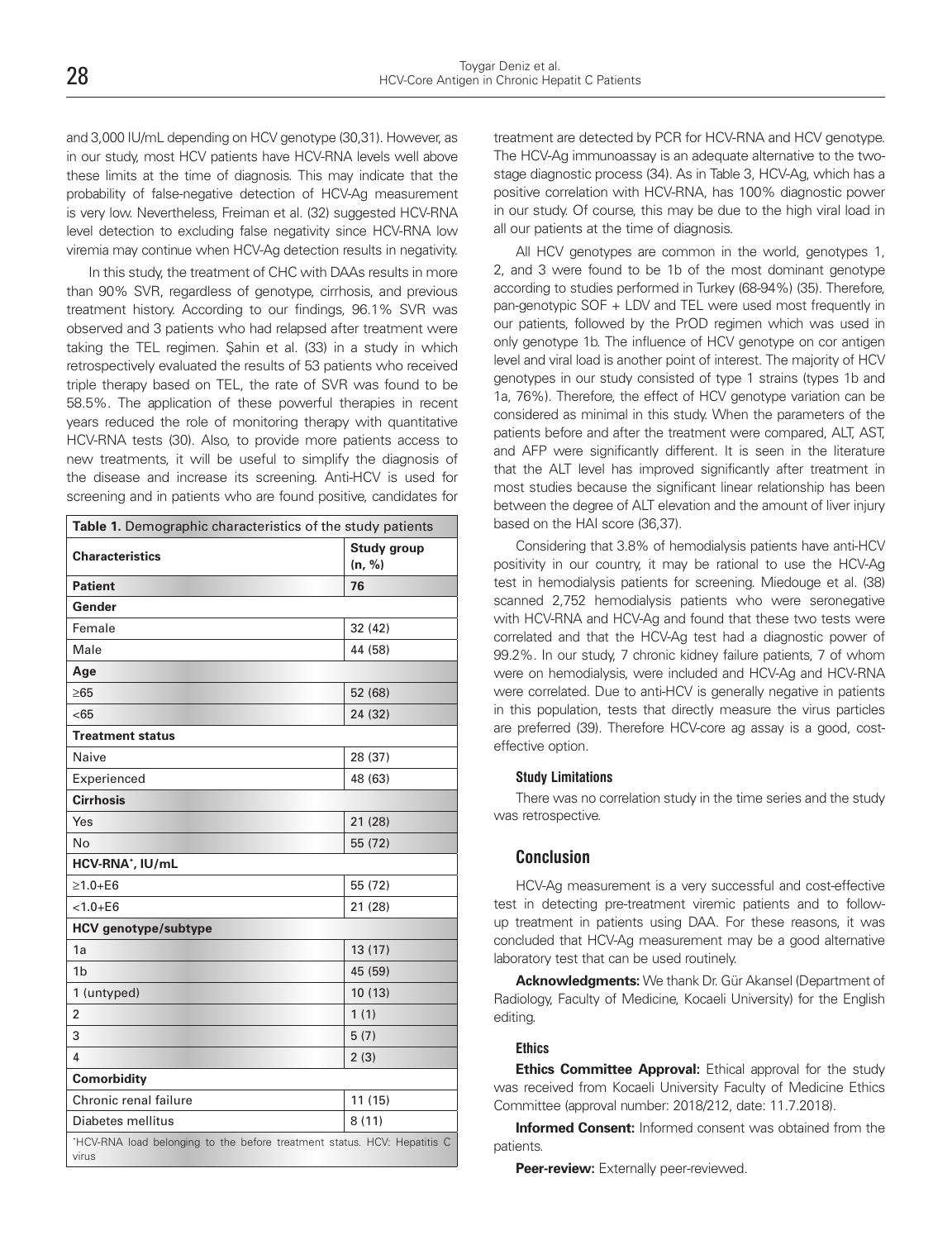and 3,000 IU/mL depending on HCV genotype (30,31). However, as in our study, most HCV patients have HCV-RNA levels well above these limits at the time of diagnosis. This may indicate that the probability of false-negative detection of HCV-Ag measurement is very low. Nevertheless, Freiman et al. (32) suggested HCV-RNA level detection to excluding false negativity since HCV-RNA low viremia may continue when HCV-Ag detection results in negativity.

In this study, the treatment of CHC with DAAs results in more than 90% SVR, regardless of genotype, cirrhosis, and previous treatment history. According to our findings, 96.1% SVR was observed and 3 patients who had relapsed after treatment were taking the TEL regimen. Şahin et al. (33) in a study in which retrospectively evaluated the results of 53 patients who received triple therapy based on TEL, the rate of SVR was found to be 58.5%. The application of these powerful therapies in recent years reduced the role of monitoring therapy with quantitative HCV-RNA tests (30). Also, to provide more patients access to new treatments, it will be useful to simplify the diagnosis of the disease and increase its screening. Anti-HCV is used for screening and in patients who are found positive, candidates for

| <b>Characteristics</b>                                                            | <b>Study group</b><br>(n, %) |
|-----------------------------------------------------------------------------------|------------------------------|
| <b>Patient</b>                                                                    | 76                           |
| Gender                                                                            |                              |
| Female                                                                            | 32 (42)                      |
| Male                                                                              | 44 (58)                      |
| Age                                                                               |                              |
| >65                                                                               | 52 (68)                      |
| <65                                                                               | 24 (32)                      |
| <b>Treatment status</b>                                                           |                              |
| Naive                                                                             | 28 (37)                      |
| Experienced                                                                       | 48 (63)                      |
| <b>Cirrhosis</b>                                                                  |                              |
| Yes                                                                               | 21 (28)                      |
| <b>No</b>                                                                         | 55 (72)                      |
| HCV-RNA*, IU/mL                                                                   |                              |
| $\geq 1.0 + E6$                                                                   | 55 (72)                      |
| $< 1.0 + E6$                                                                      | 21 (28)                      |
| <b>HCV</b> genotype/subtype                                                       |                              |
| 1a                                                                                | 13(17)                       |
| 1b                                                                                | 45 (59)                      |
| 1 (untyped)                                                                       | 10(13)                       |
| $\mathfrak{p}$                                                                    | 1(1)                         |
| 3                                                                                 | 5(7)                         |
| 4                                                                                 | 2(3)                         |
| <b>Comorbidity</b>                                                                |                              |
| Chronic renal failure                                                             | 11(15)                       |
| Diabetes mellitus                                                                 | 8(11)                        |
| 'HCV-RNA load belonging to the before treatment status. HCV: Hepatitis C<br>virus |                              |

treatment are detected by PCR for HCV-RNA and HCV genotype. The HCV-Ag immunoassay is an adequate alternative to the twostage diagnostic process (34). As in Table 3, HCV-Ag, which has a positive correlation with HCV-RNA, has 100% diagnostic power in our study. Of course, this may be due to the high viral load in all our patients at the time of diagnosis.

All HCV genotypes are common in the world, genotypes 1, 2, and 3 were found to be 1b of the most dominant genotype according to studies performed in Turkey (68-94%) (35). Therefore, pan-genotypic SOF + LDV and TEL were used most frequently in our patients, followed by the PrOD regimen which was used in only genotype 1b. The influence of HCV genotype on cor antigen level and viral load is another point of interest. The majority of HCV genotypes in our study consisted of type 1 strains (types 1b and 1a, 76%). Therefore, the effect of HCV genotype variation can be considered as minimal in this study. When the parameters of the patients before and after the treatment were compared, ALT, AST, and AFP were significantly different. It is seen in the literature that the ALT level has improved significantly after treatment in most studies because the significant linear relationship has been between the degree of ALT elevation and the amount of liver injury based on the HAI score (36,37).

Considering that 3.8% of hemodialysis patients have anti-HCV positivity in our country, it may be rational to use the HCV-Ag test in hemodialysis patients for screening. Miedouge et al. (38) scanned 2,752 hemodialysis patients who were seronegative with HCV-RNA and HCV-Ag and found that these two tests were correlated and that the HCV-Ag test had a diagnostic power of 99.2%. In our study, 7 chronic kidney failure patients, 7 of whom were on hemodialysis, were included and HCV-Ag and HCV-RNA were correlated. Due to anti-HCV is generally negative in patients in this population, tests that directly measure the virus particles are preferred (39). Therefore HCV-core ag assay is a good, costeffective option.

#### **Study Limitations**

There was no correlation study in the time series and the study was retrospective.

## **Conclusion**

HCV-Ag measurement is a very successful and cost-effective test in detecting pre-treatment viremic patients and to followup treatment in patients using DAA. For these reasons, it was concluded that HCV-Ag measurement may be a good alternative laboratory test that can be used routinely.

**Acknowledgments:** We thank Dr. Gür Akansel (Department of Radiology, Faculty of Medicine, Kocaeli University) for the English editing.

#### **Ethics**

**Ethics Committee Approval:** Ethical approval for the study was received from Kocaeli University Faculty of Medicine Ethics Committee (approval number: 2018/212, date: 11.7.2018).

**Informed Consent:** Informed consent was obtained from the patients.

**Peer-review:** Externally peer-reviewed.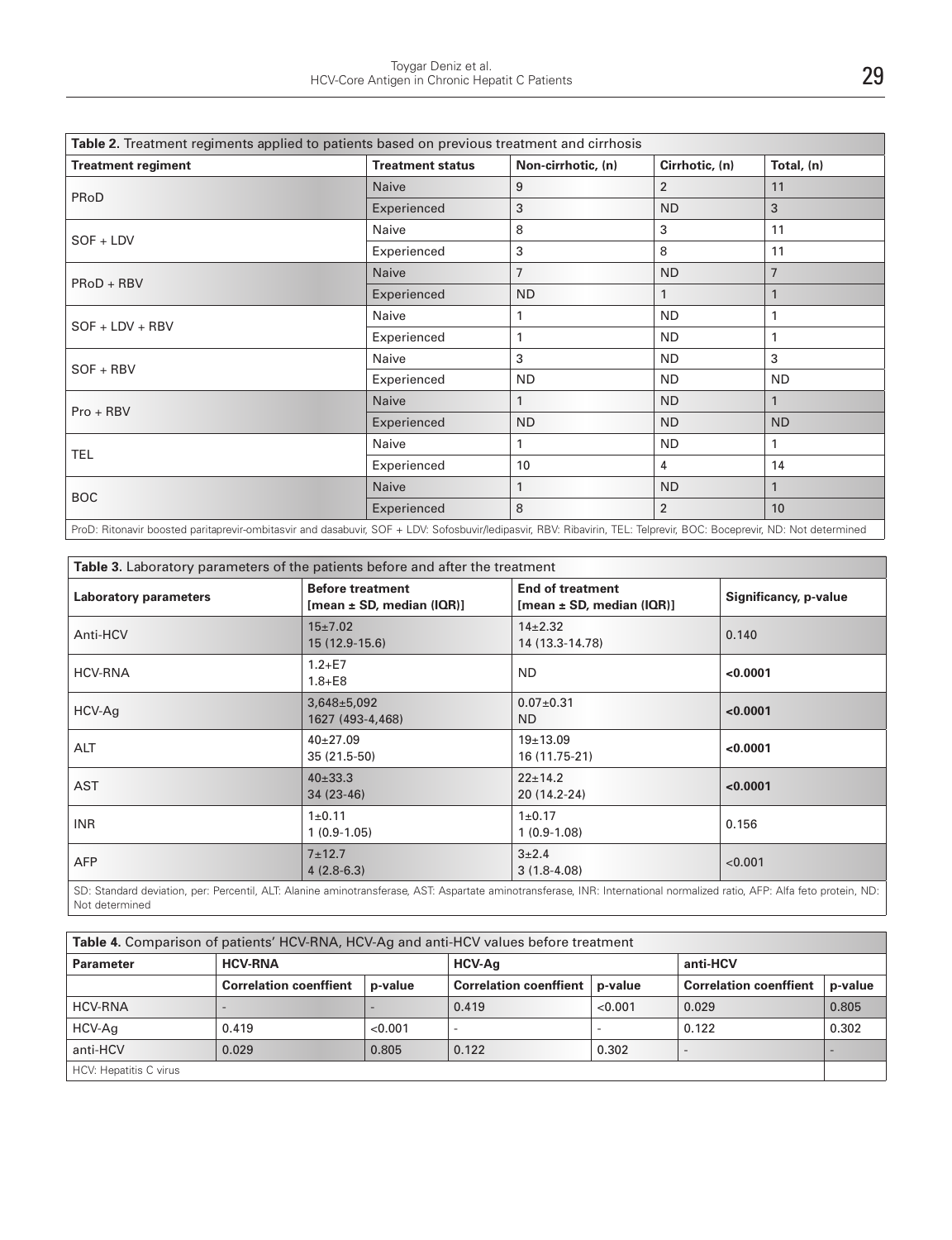| Table 2. Treatment regiments applied to patients based on previous treatment and cirrhosis                                                                           |                         |                    |                |                |  |
|----------------------------------------------------------------------------------------------------------------------------------------------------------------------|-------------------------|--------------------|----------------|----------------|--|
| <b>Treatment regiment</b>                                                                                                                                            | <b>Treatment status</b> | Non-cirrhotic, (n) | Cirrhotic, (n) | Total, (n)     |  |
| PRoD                                                                                                                                                                 | <b>Naive</b>            | 9                  | 2              | 11             |  |
|                                                                                                                                                                      | Experienced             | 3                  | <b>ND</b>      | 3              |  |
| $SOF + LDV$                                                                                                                                                          | Naive                   | 8                  | 3              | 11             |  |
|                                                                                                                                                                      | Experienced             | 3                  | 8              | 11             |  |
|                                                                                                                                                                      | Naive                   | $\overline{7}$     | <b>ND</b>      | $7\overline{}$ |  |
| $PROD + RBV$                                                                                                                                                         | Experienced             | <b>ND</b>          |                |                |  |
| $SOF + LDV + RBV$                                                                                                                                                    | Naive                   | 1                  | <b>ND</b>      |                |  |
|                                                                                                                                                                      | Experienced             | 1                  | <b>ND</b>      |                |  |
| $SOF + RBV$                                                                                                                                                          | Naive                   | 3                  | <b>ND</b>      | 3              |  |
|                                                                                                                                                                      | Experienced             | <b>ND</b>          | <b>ND</b>      | <b>ND</b>      |  |
| $Pro + RBV$                                                                                                                                                          | Naive                   | 1                  | <b>ND</b>      |                |  |
|                                                                                                                                                                      | Experienced             | <b>ND</b>          | <b>ND</b>      | <b>ND</b>      |  |
| <b>TEL</b>                                                                                                                                                           | Naive                   | 1                  | <b>ND</b>      |                |  |
|                                                                                                                                                                      | Experienced             | 10                 | 4              | 14             |  |
| <b>BOC</b>                                                                                                                                                           | Naive                   | 1                  | <b>ND</b>      |                |  |
|                                                                                                                                                                      | Experienced             | 8                  | 2              | 10             |  |
| ProD: Ritonavir boosted paritaprevir-ombitasvir and dasabuvir, SOF + LDV: Sofosbuvir/ledipasvir, RBV: Ribavirin, TEL: Telprevir, BOC: Boceprevir, ND: Not determined |                         |                    |                |                |  |

| Table 3. Laboratory parameters of the patients before and after the treatment |                                                                                                                      |                               |                       |  |  |
|-------------------------------------------------------------------------------|----------------------------------------------------------------------------------------------------------------------|-------------------------------|-----------------------|--|--|
| <b>Laboratory parameters</b>                                                  | <b>Before treatment</b><br><b>End of treatment</b><br>[mean $\pm$ SD, median (IQR)]<br>[mean $\pm$ SD, median (IQR)] |                               | Significancy, p-value |  |  |
| Anti-HCV                                                                      | 15±7.02<br>15 (12.9-15.6)                                                                                            | $14+2.32$<br>14 (13.3-14.78)  | 0.140                 |  |  |
| <b>HCV-RNA</b>                                                                | $1.2 + E7$<br>$1.8 + E8$                                                                                             | <b>ND</b>                     | < 0.0001              |  |  |
| HCV-Ag                                                                        | $3,648 \pm 5,092$<br>1627 (493-4,468)                                                                                | $0.07 + 0.31$<br>ND.          | < 0.0001              |  |  |
| <b>ALT</b>                                                                    | $40+27.09$<br>35 (21.5-50)                                                                                           | $19+13.09$<br>16 (11.75-21)   | < 0.0001              |  |  |
| <b>AST</b>                                                                    | $40+33.3$<br>$34(23-46)$                                                                                             | $22 \pm 14.2$<br>20 (14.2-24) | < 0.0001              |  |  |
| <b>INR</b>                                                                    | $1 \pm 0.11$<br>$1(0.9-1.05)$                                                                                        | $1 \pm 0.17$<br>$1(0.9-1.08)$ | 0.156                 |  |  |
| <b>AFP</b>                                                                    | $7 + 12.7$<br>$4(2.8-6.3)$                                                                                           | $3 + 2.4$<br>$3(1.8-4.08)$    | < 0.001               |  |  |

SD: Standard deviation, per: Percentil, ALT: Alanine aminotransferase, AST: Aspartate aminotransferase, INR: International normalized ratio, AFP: Alfa feto protein, ND: Not determined

| <b>Table 4.</b> Comparison of patients' HCV-RNA, HCV-Ag and anti-HCV values before treatment |                               |         |                        |         |                               |         |  |
|----------------------------------------------------------------------------------------------|-------------------------------|---------|------------------------|---------|-------------------------------|---------|--|
| Parameter                                                                                    | <b>HCV-RNA</b>                |         | <b>HCV-Ag</b>          |         | anti-HCV                      |         |  |
|                                                                                              | <b>Correlation coenffient</b> | p-value | Correlation coenffient | p-value | <b>Correlation coenffient</b> | p-value |  |
| <b>HCV-RNA</b>                                                                               | -                             |         | 0.419                  | < 0.001 | 0.029                         | 0.805   |  |
| HCV-Aq                                                                                       | 0.419                         | < 0.001 | -                      |         | 0.122                         | 0.302   |  |
| anti-HCV                                                                                     | 0.029                         | 0.805   | 0.122                  | 0.302   | $\overline{\phantom{0}}$      |         |  |
| HCV: Hepatitis C virus                                                                       |                               |         |                        |         |                               |         |  |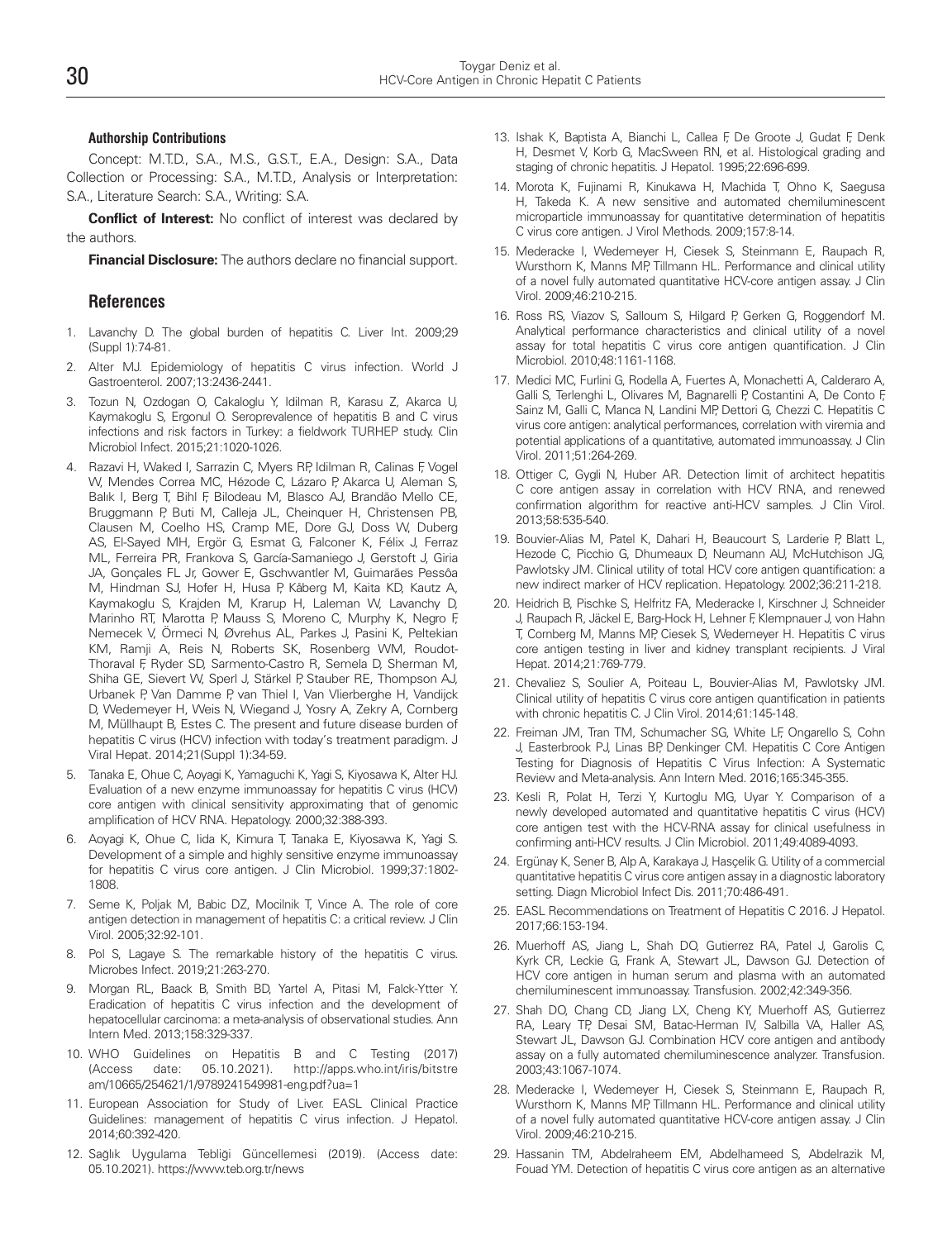#### **Authorship Contributions**

Concept: M.T.D., S.A., M.S., G.S.T., E.A., Design: S.A., Data Collection or Processing: S.A., M.T.D., Analysis or Interpretation: S.A., Literature Search: S.A., Writing: S.A.

**Conflict of Interest:** No conflict of interest was declared by the authors.

**Financial Disclosure:** The authors declare no financial support.

## **References**

- 1. Lavanchy D. The global burden of hepatitis C. Liver Int. 2009;29 (Suppl 1):74-81.
- 2. Alter MJ. Epidemiology of hepatitis C virus infection. World J Gastroenterol. 2007;13:2436-2441.
- 3. Tozun N, Ozdogan O, Cakaloglu Y, Idilman R, Karasu Z, Akarca U, Kaymakoglu S, Ergonul O. Seroprevalence of hepatitis B and C virus infections and risk factors in Turkey: a fieldwork TURHEP study. Clin Microbiol Infect. 2015;21:1020-1026.
- 4. Razavi H, Waked I, Sarrazin C, Myers RP, Idilman R, Calinas F, Vogel W, Mendes Correa MC, Hézode C, Lázaro P, Akarca U, Aleman S, Balık I, Berg T, Bihl F, Bilodeau M, Blasco AJ, Brandão Mello CE, Bruggmann P, Buti M, Calleja JL, Cheinquer H, Christensen PB, Clausen M, Coelho HS, Cramp ME, Dore GJ, Doss W, Duberg AS, El-Sayed MH, Ergör G, Esmat G, Falconer K, Félix J, Ferraz ML, Ferreira PR, Frankova S, García-Samaniego J, Gerstoft J, Giria JA, Gonçales FL Jr, Gower E, Gschwantler M, Guimarães Pessôa M, Hindman SJ, Hofer H, Husa P, Kåberg M, Kaita KD, Kautz A, Kaymakoglu S, Krajden M, Krarup H, Laleman W, Lavanchy D, Marinho RT, Marotta P, Mauss S, Moreno C, Murphy K, Negro F, Nemecek V, Örmeci N, Øvrehus AL, Parkes J, Pasini K, Peltekian KM, Ramji A, Reis N, Roberts SK, Rosenberg WM, Roudot-Thoraval F, Ryder SD, Sarmento-Castro R, Semela D, Sherman M, Shiha GE, Sievert W, Sperl J, Stärkel P, Stauber RE, Thompson AJ, Urbanek P, Van Damme P, van Thiel I, Van Vlierberghe H, Vandijck D, Wedemeyer H, Weis N, Wiegand J, Yosry A, Zekry A, Cornberg M, Müllhaupt B, Estes C. The present and future disease burden of hepatitis C virus (HCV) infection with today's treatment paradigm. J Viral Hepat. 2014;21(Suppl 1):34-59.
- 5. Tanaka E, Ohue C, Aoyagi K, Yamaguchi K, Yagi S, Kiyosawa K, Alter HJ. Evaluation of a new enzyme immunoassay for hepatitis C virus (HCV) core antigen with clinical sensitivity approximating that of genomic amplification of HCV RNA. Hepatology. 2000;32:388-393.
- 6. Aoyagi K, Ohue C, Iida K, Kimura T, Tanaka E, Kiyosawa K, Yagi S. Development of a simple and highly sensitive enzyme immunoassay for hepatitis C virus core antigen. J Clin Microbiol. 1999;37:1802- 1808.
- 7. Seme K, Poljak M, Babic DZ, Mocilnik T, Vince A. The role of core antigen detection in management of hepatitis C: a critical review. J Clin Virol. 2005;32:92-101.
- 8. Pol S, Lagaye S. The remarkable history of the hepatitis C virus. Microbes Infect. 2019;21:263-270.
- 9. Morgan RL, Baack B, Smith BD, Yartel A, Pitasi M, Falck-Ytter Y. Eradication of hepatitis C virus infection and the development of hepatocellular carcinoma: a meta-analysis of observational studies. Ann Intern Med. 2013;158:329-337.
- 10. WHO Guidelines on Hepatitis B and C Testing (2017) (Access date: 05.10.2021). http://apps.who.int/iris/bitstre am/10665/254621/1/9789241549981-eng.pdf?ua=1
- 11. European Association for Study of Liver. EASL Clinical Practice Guidelines: management of hepatitis C virus infection. J Hepatol. 2014;60:392-420.
- 12. Sağlık Uygulama Tebliği Güncellemesi (2019). (Access date: 05.10.2021). https://www.teb.org.tr/news
- 13. Ishak K, Baptista A, Bianchi L, Callea F, De Groote J, Gudat F, Denk H, Desmet V, Korb G, MacSween RN, et al. Histological grading and staging of chronic hepatitis. J Hepatol. 1995;22:696-699.
- 14. Morota K, Fujinami R, Kinukawa H, Machida T, Ohno K, Saegusa H, Takeda K. A new sensitive and automated chemiluminescent microparticle immunoassay for quantitative determination of hepatitis C virus core antigen. J Virol Methods. 2009;157:8-14.
- 15. Mederacke I, Wedemeyer H, Ciesek S, Steinmann E, Raupach R, Wursthorn K, Manns MP, Tillmann HL. Performance and clinical utility of a novel fully automated quantitative HCV-core antigen assay. J Clin Virol. 2009;46:210-215.
- 16. Ross RS, Viazov S, Salloum S, Hilgard P, Gerken G, Roggendorf M. Analytical performance characteristics and clinical utility of a novel assay for total hepatitis C virus core antigen quantification. J Clin Microbiol. 2010;48:1161-1168.
- 17. Medici MC, Furlini G, Rodella A, Fuertes A, Monachetti A, Calderaro A, Galli S, Terlenghi L, Olivares M, Bagnarelli P, Costantini A, De Conto F, Sainz M, Galli C, Manca N, Landini MP, Dettori G, Chezzi C. Hepatitis C virus core antigen: analytical performances, correlation with viremia and potential applications of a quantitative, automated immunoassay. J Clin Virol. 2011;51:264-269.
- 18. Ottiger C, Gygli N, Huber AR. Detection limit of architect hepatitis C core antigen assay in correlation with HCV RNA, and renewed confirmation algorithm for reactive anti-HCV samples. J Clin Virol. 2013;58:535-540.
- 19. Bouvier-Alias M, Patel K, Dahari H, Beaucourt S, Larderie P, Blatt L, Hezode C, Picchio G, Dhumeaux D, Neumann AU, McHutchison JG, Pawlotsky JM. Clinical utility of total HCV core antigen quantification: a new indirect marker of HCV replication. Hepatology. 2002;36:211-218.
- 20. Heidrich B, Pischke S, Helfritz FA, Mederacke I, Kirschner J, Schneider J, Raupach R, Jäckel E, Barg-Hock H, Lehner F, Klempnauer J, von Hahn T, Cornberg M, Manns MP, Ciesek S, Wedemeyer H. Hepatitis C virus core antigen testing in liver and kidney transplant recipients. J Viral Hepat. 2014;21:769-779.
- 21. Chevaliez S, Soulier A, Poiteau L, Bouvier-Alias M, Pawlotsky JM. Clinical utility of hepatitis C virus core antigen quantification in patients with chronic hepatitis C. J Clin Virol. 2014;61:145-148.
- 22. Freiman JM, Tran TM, Schumacher SG, White LF, Ongarello S, Cohn J, Easterbrook PJ, Linas BP, Denkinger CM. Hepatitis C Core Antigen Testing for Diagnosis of Hepatitis C Virus Infection: A Systematic Review and Meta-analysis. Ann Intern Med. 2016;165:345-355.
- 23. Kesli R, Polat H, Terzi Y, Kurtoglu MG, Uyar Y. Comparison of a newly developed automated and quantitative hepatitis C virus (HCV) core antigen test with the HCV-RNA assay for clinical usefulness in confirming anti-HCV results. J Clin Microbiol. 2011;49:4089-4093.
- 24. Ergünay K, Sener B, Alp A, Karakaya J, Hasçelik G. Utility of a commercial quantitative hepatitis C virus core antigen assay in a diagnostic laboratory setting. Diagn Microbiol Infect Dis. 2011;70:486-491.
- 25. EASL Recommendations on Treatment of Hepatitis C 2016. J Hepatol. 2017;66:153-194.
- 26. Muerhoff AS, Jiang L, Shah DO, Gutierrez RA, Patel J, Garolis C, Kyrk CR, Leckie G, Frank A, Stewart JL, Dawson GJ. Detection of HCV core antigen in human serum and plasma with an automated chemiluminescent immunoassay. Transfusion. 2002;42:349-356.
- 27. Shah DO, Chang CD, Jiang LX, Cheng KY, Muerhoff AS, Gutierrez RA, Leary TP, Desai SM, Batac-Herman IV, Salbilla VA, Haller AS, Stewart JL, Dawson GJ. Combination HCV core antigen and antibody assay on a fully automated chemiluminescence analyzer. Transfusion. 2003;43:1067-1074.
- 28. Mederacke I, Wedemeyer H, Ciesek S, Steinmann E, Raupach R, Wursthorn K, Manns MP, Tillmann HL. Performance and clinical utility of a novel fully automated quantitative HCV-core antigen assay. J Clin Virol. 2009;46:210-215.
- 29. Hassanin TM, Abdelraheem EM, Abdelhameed S, Abdelrazik M, Fouad YM. Detection of hepatitis C virus core antigen as an alternative